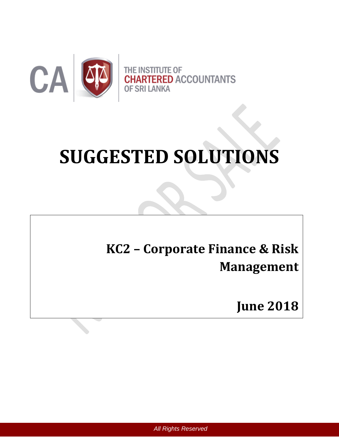

# **SUGGESTED SOLUTIONS**

# **KC2 – Corporate Finance & Risk Management**

**June 2018**

*All Rights Reserved*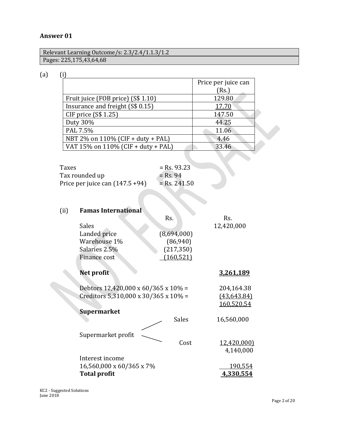#### **Answer 01**

Relevant Learning Outcome/s: 2.3/2.4/1.1.3/1.2 Pages: 225,175,43,64,68

(a) (i)

|                                    | Price per juice can<br>(Rs.) |
|------------------------------------|------------------------------|
| Fruit juice (FOB price) (S\$ 1.10) | 129.80                       |
| Insurance and freight (S\$ 0.15)   | 17.70                        |
| CIF price (S\$ 1.25)               | 147.50                       |
| Duty 30%                           | 44.25                        |
| PAL 7.5%                           | 11.06                        |
| NBT 2% on 110% (CIF + duty + PAL)  | 4.46                         |
| VAT 15% on 110% (CIF + duty + PAL) | 33.46                        |
|                                    |                              |

| Taxes                              | $=$ Rs. 93.23  |
|------------------------------------|----------------|
| Tax rounded up                     | $=$ Rs. 94     |
| Price per juice can $(147.5 + 94)$ | $=$ Rs. 241.50 |

# (ii) **Famas International**

|                                      | Rs.          | Rs.                |
|--------------------------------------|--------------|--------------------|
| <b>Sales</b>                         |              | 12,420,000         |
| Landed price                         | (8,694,000)  |                    |
| Warehouse 1%                         | (86,940)     |                    |
| Salaries 2.5%                        | (217, 350)   |                    |
| Finance cost                         | (160, 521)   |                    |
| Net profit                           |              | 3,261,189          |
| Debtors 12,420,000 x 60/365 x 10% =  |              | 204,164.38         |
| Creditors 5,310,000 x 30/365 x 10% = |              | (43, 643.84)       |
|                                      |              | 160,520.54         |
| <b>Supermarket</b>                   |              |                    |
|                                      | <b>Sales</b> | 16,560,000         |
|                                      |              |                    |
| Supermarket profit                   |              |                    |
|                                      | Cost         | <u>12,420,000)</u> |
|                                      |              | 4,140,000          |
| Interest income                      |              |                    |
| 16,560,000 x 60/365 x 7%             |              | 190,554            |
| <b>Total profit</b>                  |              | 4,330,554          |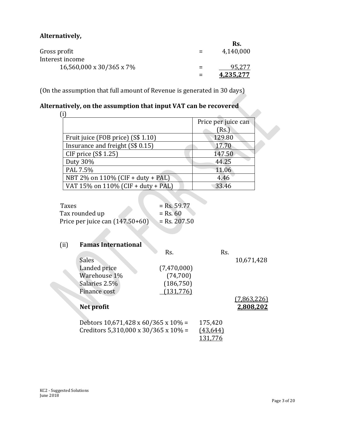# **Alternatively,**

|                          |     | Rs.              |
|--------------------------|-----|------------------|
| Gross profit             |     | 4,140,000        |
| Interest income          |     |                  |
| 16,560,000 x 30/365 x 7% | $=$ | 95.277           |
|                          |     | <u>4.235.277</u> |

(On the assumption that full amount of Revenue is generated in 30 days)

# **Alternatively, on the assumption that input VAT can be recovered**

| aurely) on the aboumption that mpat 7.11 tan be recovered |                     |
|-----------------------------------------------------------|---------------------|
|                                                           | Price per juice can |
|                                                           | (Rs.)               |
| Fruit juice (FOB price) (S\$ 1.10)                        | 129.80              |
| Insurance and freight (S\$ 0.15)                          | 17.70               |
| CIF price (S\$ 1.25)                                      | 147.50              |
| Duty 30%                                                  | 44.25               |
| PAL 7.5%                                                  | 11.06               |
| NBT 2% on 110% (CIF + duty + PAL)                         | 4.46                |
| VAT 15% on 110% (CIF + duty + PAL)                        | 33.46               |

| Taxes                             | $=$ Rs. 59.77  |
|-----------------------------------|----------------|
| Tax rounded up                    | $=$ Rs. 60     |
| Price per juice can $(147.50+60)$ | $=$ Rs. 207.50 |

### (ii) **Famas International**

|                                                  | Rs.         | Rs.       |             |
|--------------------------------------------------|-------------|-----------|-------------|
| <b>Sales</b>                                     |             |           | 10,671,428  |
| Landed price                                     | (7,470,000) |           |             |
| Warehouse 1%                                     | (74,700)    |           |             |
| Salaries 2.5%                                    | (186, 750)  |           |             |
| Finance cost                                     | (131,776)   |           |             |
|                                                  |             |           | (7,863,226) |
| Net profit                                       |             |           | 2,808,202   |
|                                                  |             |           |             |
| Debtors $10,671,428 \times 60/365 \times 10\%$ = |             | 175,420   |             |
| Creditors 5,310,000 x 30/365 x 10% =             |             | (43, 644) |             |
|                                                  |             |           |             |
|                                                  |             |           |             |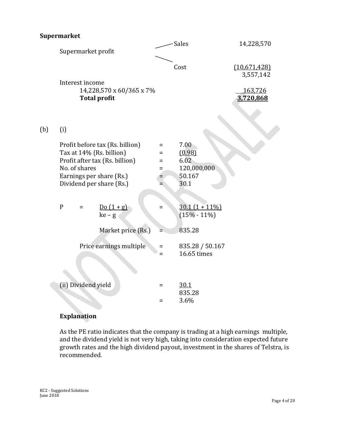# **Supermarket**

|     |              |                     | Supermarket profit                                                                                                                                    |                    | Sales                                                   | 14,228,570                        |
|-----|--------------|---------------------|-------------------------------------------------------------------------------------------------------------------------------------------------------|--------------------|---------------------------------------------------------|-----------------------------------|
|     |              |                     |                                                                                                                                                       |                    | Cost                                                    | (10,671,428)                      |
|     |              | Interest income     | 14,228,570 x 60/365 x 7%<br><b>Total profit</b>                                                                                                       |                    |                                                         | 3,557,142<br>163,726<br>3,720,868 |
| (b) | (i)          |                     |                                                                                                                                                       |                    |                                                         |                                   |
|     |              | No. of shares       | Profit before tax (Rs. billion)<br>Tax at 14% (Rs. billion)<br>Profit after tax (Rs. billion)<br>Earnings per share (Rs.)<br>Dividend per share (Rs.) | Ξ<br>Ξ<br>$=$<br>= | 7.00<br>(0.98)<br>6.02<br>120,000,000<br>50.167<br>30.1 |                                   |
|     | $\mathbf{P}$ | $=$                 | $\underline{\text{Do}(1+g)}$<br>$ke-g$                                                                                                                | $=$                | $30.1(1 + 11\%)$<br>$(15\% - 11\%)$                     |                                   |
|     |              |                     | Market price (Rs.)                                                                                                                                    |                    | 835.28                                                  |                                   |
|     |              |                     | Price earnings multiple                                                                                                                               | $=$<br>$=$         | 835.28 / 50.167<br>16.65 times                          |                                   |
|     |              | (ii) Dividend yield |                                                                                                                                                       | $=$                | 30.1<br>835.28                                          |                                   |
|     |              |                     |                                                                                                                                                       | $=$                | 3.6%                                                    |                                   |

# **Explanation**

As the PE ratio indicates that the company is trading at a high earnings multiple, and the dividend yield is not very high, taking into consideration expected future growth rates and the high dividend payout, investment in the shares of Telstra, is recommended.

KC2 - Suggested Solutions June 2018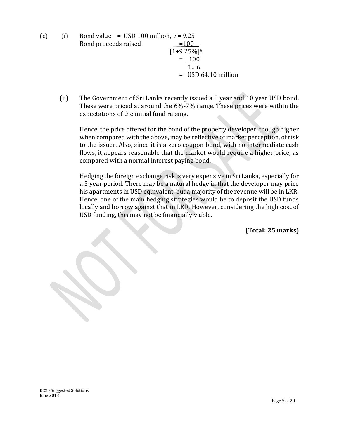(c) (i) Bond value =  $\text{USD 100 million}, i = 9.25$ Bond proceeds raised  $=100$  $[1+9.25\%]$ <sup>5</sup>  $= 100$  1.56 = USD 64.10 million

(ii) The Government of Sri Lanka recently issued a 5 year and 10 year USD bond. These were priced at around the 6%-7% range. These prices were within the expectations of the initial fund raising**.**

Hence, the price offered for the bond of the property developer, though higher when compared with the above, may be reflective of market perception, of risk to the issuer. Also, since it is a zero coupon bond, with no intermediate cash flows, it appears reasonable that the market would require a higher price, as compared with a normal interest paying bond.

Hedging the foreign exchange risk is very expensive in Sri Lanka, especially for a 5 year period. There may be a natural hedge in that the developer may price his apartments in USD equivalent, but a majority of the revenue will be in LKR. Hence, one of the main hedging strategies would be to deposit the USD funds locally and borrow against that in LKR. However, considering the high cost of USD funding, this may not be financially viable**.**

**(Total: 25 marks)**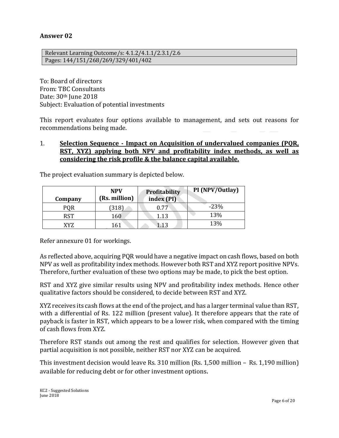#### **Answer 02**

Relevant Learning Outcome/s: 4.1.2/4.1.1/2.3.1/2.6 Pages: 144/151/268/269/329/401/402

To: Board of directors From: TBC Consultants Date: 30<sup>th</sup> June 2018 Subject: Evaluation of potential investments

This report evaluates four options available to management, and sets out reasons for recommendations being made.

#### 1. **Selection Sequence - Impact on Acquisition of undervalued companies (PQR, RST, XYZ) applying both NPV and profitability index methods, as well as considering the risk profile & the balance capital available.**

| Company    | <b>NPV</b><br>(Rs. million) | Profitability<br>index (PI) | PI (NPV/Outlay) |
|------------|-----------------------------|-----------------------------|-----------------|
| PQR        | 318                         | 0.77                        | $-23%$          |
| <b>RST</b> | 160                         | 1.13                        | 13%             |
| XYZ        | 161                         | 1.13                        | 13%             |

The project evaluation summary is depicted below.

Refer annexure 01 for workings.

As reflected above, acquiring PQR would have a negative impact on cash flows, based on both NPV as well as profitability index methods. However both RST and XYZ report positive NPVs. Therefore, further evaluation of these two options may be made, to pick the best option.

RST and XYZ give similar results using NPV and profitability index methods. Hence other qualitative factors should be considered, to decide between RST and XYZ.

XYZ receives its cash flows at the end of the project, and has a larger terminal value than RST, with a differential of Rs. 122 million (present value). It therefore appears that the rate of payback is faster in RST, which appears to be a lower risk, when compared with the timing of cash flows from XYZ.

Therefore RST stands out among the rest and qualifies for selection. However given that partial acquisition is not possible, neither RST nor XYZ can be acquired.

This investment decision would leave Rs. 310 million (Rs. 1,500 million – Rs. 1,190 million) available for reducing debt or for other investment options.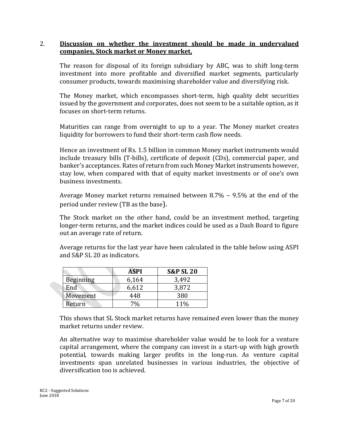#### 2. **Discussion on whether the investment should be made in undervalued companies, Stock market or Money market,**

The reason for disposal of its foreign subsidiary by ABC, was to shift long-term investment into more profitable and diversified market segments, particularly consumer products, towards maximising shareholder value and diversifying risk.

The Money market, which encompasses short-term, high quality debt securities issued by the government and corporates, does not seem to be a suitable option, as it focuses on short-term returns.

Maturities can range from overnight to up to a year. The Money market creates liquidity for borrowers to fund their short-term cash flow needs.

Hence an investment of Rs. 1.5 billion in common Money market instruments would include treasury bills (T-bills), certificate of deposit (CDs), commercial paper, and banker's acceptances. Rates of return from such Money Market instruments however, stay low, when compared with that of equity market investments or of one's own business investments.

Average Money market returns remained between  $8.7\%$  –  $9.5\%$  at the end of the period under review (TB as the base).

The Stock market on the other hand, could be an investment method, targeting longer-term returns, and the market indices could be used as a Dash Board to figure out an average rate of return.

Average returns for the last year have been calculated in the table below using ASPI and S&P SL 20 as indicators.

|                  | ASPI            | <b>S&amp;P SL 20</b> |
|------------------|-----------------|----------------------|
| <b>Beginning</b> | 6,164           | 3,492                |
| End              | 6,612           | 3,872                |
| Movement         | 448             | 380                  |
| Return           | 70 <sub>0</sub> | 11%                  |

This shows that SL Stock market returns have remained even lower than the money market returns under review.

An alternative way to maximise shareholder value would be to look for a venture capital arrangement, where the company can invest in a start-up with high growth potential, towards making larger profits in the long-run. As venture capital investments span unrelated businesses in various industries, the objective of diversification too is achieved.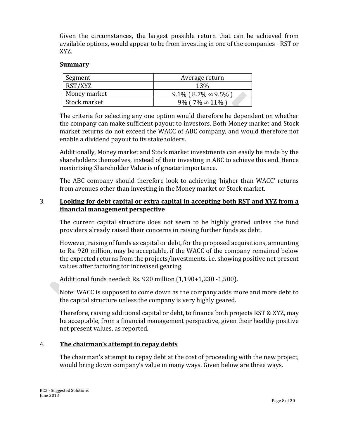Given the circumstances, the largest possible return that can be achieved from available options, would appear to be from investing in one of the companies - RST or XYZ.

#### **Summary**

| Segment      | Average return                  |  |
|--------------|---------------------------------|--|
| RST/XYZ      | 13%                             |  |
| Money market | $9.1\%$ (8.7\% $\infty$ 9.5\% ) |  |
| Stock market | 9% (7% $\in$ 11%)               |  |

The criteria for selecting any one option would therefore be dependent on whether the company can make sufficient payout to investors. Both Money market and Stock market returns do not exceed the WACC of ABC company, and would therefore not enable a dividend payout to its stakeholders.

Additionally, Money market and Stock market investments can easily be made by the shareholders themselves, instead of their investing in ABC to achieve this end. Hence maximising Shareholder Value is of greater importance.

The ABC company should therefore look to achieving 'higher than WACC' returns from avenues other than investing in the Money market or Stock market.

#### 3. **Looking for debt capital or extra capital in accepting both RST and XYZ from a financial management perspective**

The current capital structure does not seem to be highly geared unless the fund providers already raised their concerns in raising further funds as debt.

However, raising of funds as capital or debt, for the proposed acquisitions, amounting to Rs. 920 million, may be acceptable, if the WACC of the company remained below the expected returns from the projects/investments, i.e. showing positive net present values after factoring for increased gearing.

Additional funds needed: Rs. 920 million (1,190+1,230 -1,500).

Note: WACC is supposed to come down as the company adds more and more debt to the capital structure unless the company is very highly geared.

Therefore, raising additional capital or debt, to finance both projects RST & XYZ, may be acceptable, from a financial management perspective, given their healthy positive net present values, as reported.

#### 4. **The chairman's attempt to repay debts**

The chairman's attempt to repay debt at the cost of proceeding with the new project, would bring down company's value in many ways. Given below are three ways.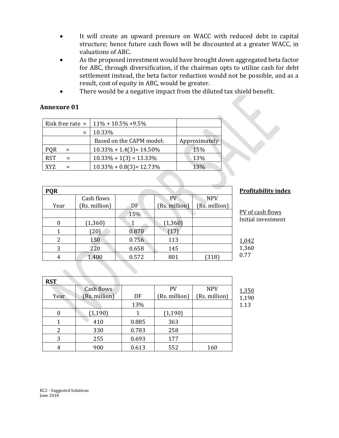- It will create an upward pressure on WACC with reduced debt in capital structure; hence future cash flows will be discounted at a greater WACC, in valuations of ABC.
- As the proposed investment would have brought down aggregated beta factor for ABC, through diversification, if the chairman opts to utilize cash for debt settlement instead, the beta factor reduction would not be possible, and as a result, cost of equity in ABC, would be greater.
- There would be a negative impact from the diluted tax shield benefit.

#### **Annexure 01**

|                   | Risk free rate = $11\% + 10.5\% + 9.5\%$ |               |
|-------------------|------------------------------------------|---------------|
|                   | 10.33%                                   |               |
|                   | Based on the CAPM model:                 | Approximately |
| <b>PQR</b><br>$=$ | $10.33\% + 1.4(3) = 14.50\%$             | 15%           |
| <b>RST</b>        | $10.33\% + 1(3) = 13.33\%$               | 13%           |
| XYZ               | $10.33\% + 0.8(3) = 12.73\%$             | 13%           |

| <b>PQR</b> |                  |       |               |               |
|------------|------------------|-------|---------------|---------------|
|            | Cash flows       |       | <b>PV</b>     | <b>NPV</b>    |
| Year       | (Rs. million)    | DF    | (Rs. million) | (Rs. million) |
|            |                  | 15%   |               |               |
|            | (1, 360)         |       | (1, 360)      |               |
|            | 20               | 0.870 | 17            |               |
| 2          | 150              | 0.756 | 113           |               |
| 3          | $2\overline{2}0$ | 0.658 | 145           |               |
| 4          | 1,400            | 0.572 | 801           | 318           |

#### **Profitability index**

| PV of cash flows   |
|--------------------|
| Initial investment |

| 1.042 |
|-------|
| 1,360 |
| 0.77  |
|       |

| <b>RST</b> |               |       |               |               |
|------------|---------------|-------|---------------|---------------|
|            | Cash flows    |       | <b>PV</b>     | <b>NPV</b>    |
| Year       | (Rs. million) | DF    | (Rs. million) | (Rs. million) |
|            |               | 13%   |               |               |
|            | (1, 190)      |       | (1, 190)      |               |
|            | 410           | 0.885 | 363           |               |
| 2          | 330           | 0.783 | 258           |               |
| 3          | 255           | 0.693 | 177           |               |
|            | 900           | 0.613 | 552           | 160           |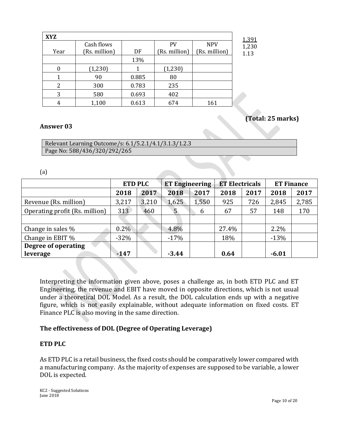| <b>XYZ</b> |               |       |               |               |
|------------|---------------|-------|---------------|---------------|
|            | Cash flows    |       | PV            | <b>NPV</b>    |
| Year       | (Rs. million) | DF    | (Rs. million) | (Rs. million) |
|            |               | 13%   |               |               |
|            | (1,230)       |       | (1,230)       |               |
|            | 90            | 0.885 | 80            |               |
|            | 300           | 0.783 | 235           |               |
| 3          | 580           | 0.693 | 402           |               |
|            | 1,100         | 0.613 | 674           | 161           |

# **(Total: 25 marks)**

#### **Answer 03**

| Relevant Learning Outcome/s: 6.1/5.2.1/4.1/3.1.3/1.2.3 |  |
|--------------------------------------------------------|--|
| Page No: 588/436/320/292/265                           |  |

(a)

|                                | <b>ETD PLC</b> |       | <b>ET Engineering</b> |       | <b>ET Electricals</b> |      | <b>ET Finance</b> |       |
|--------------------------------|----------------|-------|-----------------------|-------|-----------------------|------|-------------------|-------|
|                                | 2018           | 2017  | 2018                  | 2017  | 2018                  | 2017 | 2018              | 2017  |
| Revenue (Rs. million)          | 3,217          | 3,210 | 1,625                 | 1,550 | 925                   | 726  | 2,845             | 2,785 |
| Operating profit (Rs. million) | 313            | 460   | 5 <sup>5</sup>        | 6     | 67                    | 57   | 148               | 170   |
|                                |                |       |                       |       |                       |      |                   |       |
| Change in sales %              | $0.2\%$        |       | 4.8%                  |       | 27.4%                 |      | $2.2\%$           |       |
| Change in EBIT %               | $-32%$         |       | $-17%$                |       | 18%                   |      | $-13%$            |       |
| Degree of operating            |                |       |                       |       |                       |      |                   |       |
| leverage                       | $-147$         |       | $-3.44$               |       | 0.64                  |      | $-6.01$           |       |

Interpreting the information given above, poses a challenge as, in both ETD PLC and ET Engineering, the revenue and EBIT have moved in opposite directions, which is not usual under a theoretical DOL Model. As a result, the DOL calculation ends up with a negative figure, which is not easily explainable, without adequate information on fixed costs. ET Finance PLC is also moving in the same direction.

#### **The effectiveness of DOL (Degree of Operating Leverage)**

#### **ETD PLC**

As ETD PLC is a retail business, the fixed costs should be comparatively lower compared with a manufacturing company. As the majority of expenses are supposed to be variable, a lower DOL is expected.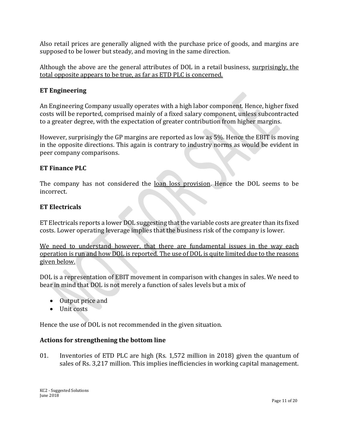Also retail prices are generally aligned with the purchase price of goods, and margins are supposed to be lower but steady, and moving in the same direction.

Although the above are the general attributes of DOL in a retail business, surprisingly, the total opposite appears to be true, as far as ETD PLC is concerned.

#### **ET Engineering**

An Engineering Company usually operates with a high labor component. Hence, higher fixed costs will be reported, comprised mainly of a fixed salary component, unless subcontracted to a greater degree, with the expectation of greater contribution from higher margins.

However, surprisingly the GP margins are reported as low as 5%. Hence the EBIT is moving in the opposite directions. This again is contrary to industry norms as would be evident in peer company comparisons.

#### **ET Finance PLC**

The company has not considered the loan loss provision. Hence the DOL seems to be incorrect.

#### **ET Electricals**

ET Electricals reports a lower DOL suggesting that the variable costs are greater than its fixed costs. Lower operating leverage implies that the business risk of the company is lower.

We need to understand however, that there are fundamental issues in the way each operation is run and how DOL is reported. The use of DOL is quite limited due to the reasons given below.

DOL is a representation of EBIT movement in comparison with changes in sales. We need to bear in mind that DOL is not merely a function of sales levels but a mix of

- Output price and
- Unit costs

Hence the use of DOL is not recommended in the given situation.

#### **Actions for strengthening the bottom line**

01. Inventories of ETD PLC are high (Rs. 1,572 million in 2018) given the quantum of sales of Rs. 3,217 million. This implies inefficiencies in working capital management.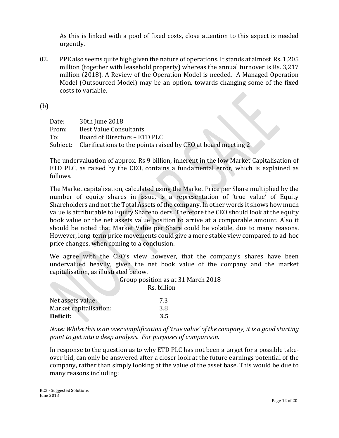As this is linked with a pool of fixed costs, close attention to this aspect is needed urgently.

02. PPE also seems quite high given the nature of operations. It stands at almost Rs. 1,205 million (together with leasehold property) whereas the annual turnover is Rs. 3,217 million (2018). A Review of the Operation Model is needed. A Managed Operation Model (Outsourced Model) may be an option, towards changing some of the fixed costs to variable.

(b)

| Date: | 30th June 2018                                                         |
|-------|------------------------------------------------------------------------|
| From: | Best Value Consultants                                                 |
| To:   | Board of Directors - ETD PLC                                           |
|       | Subject: Clarifications to the points raised by CEO at board meeting 2 |

The undervaluation of approx. Rs 9 billion, inherent in the low Market Capitalisation of ETD PLC, as raised by the CEO, contains a fundamental error, which is explained as follows.

The Market capitalisation, calculated using the Market Price per Share multiplied by the number of equity shares in issue, is a representation of 'true value' of Equity Shareholders and not the Total Assets of the company. In other words it shows how much value is attributable to Equity Shareholders. Therefore the CEO should look at the equity book value or the net assets value position to arrive at a comparable amount. Also it should be noted that Market Value per Share could be volatile, due to many reasons. However, long-term price movements could give a more stable view compared to ad-hoc price changes, when coming to a conclusion.

We agree with the CEO's view however, that the company's shares have been undervalued heavily, given the net book value of the company and the market capitalisation, as illustrated below.

> Group position as at 31 March 2018 Rs. billion

| Net assets value:      | 7.3 |
|------------------------|-----|
| Market capitalisation: | 3.8 |
| Deficit:               | 3.5 |

*Note: Whilst this is an over simplification of 'true value' of the company, it is a good starting point to get into a deep analysis. For purposes of comparison.*

In response to the question as to why ETD PLC has not been a target for a possible takeover bid, can only be answered after a closer look at the future earnings potential of the company, rather than simply looking at the value of the asset base. This would be due to many reasons including: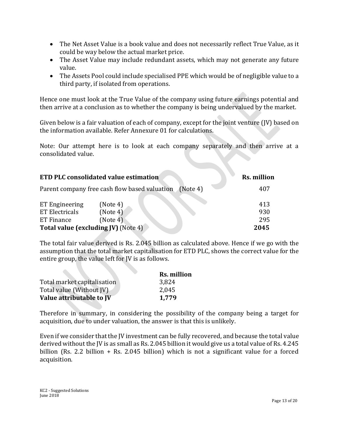- The Net Asset Value is a book value and does not necessarily reflect True Value, as it could be way below the actual market price.
- The Asset Value may include redundant assets, which may not generate any future value.
- The Assets Pool could include specialised PPE which would be of negligible value to a third party, if isolated from operations.

Hence one must look at the True Value of the company using future earnings potential and then arrive at a conclusion as to whether the company is being undervalued by the market.

Given below is a fair valuation of each of company, except for the joint venture (JV) based on the information available. Refer Annexure 01 for calculations.

Note: Our attempt here is to look at each company separately and then arrive at a consolidated value.

| <b>ETD PLC consolidated value estimation</b> | <b>Rs. million</b>                                     |            |
|----------------------------------------------|--------------------------------------------------------|------------|
|                                              | Parent company free cash flow based valuation (Note 4) | 407        |
| ET Engineering<br><b>ET Electricals</b>      | (Note 4)<br>(Note 4)                                   | 413<br>930 |
| ET Finance                                   | (Note 4)                                               | 295        |
| <b>Total value (excluding JV)</b> (Note 4)   | 2045                                                   |            |

The total fair value derived is Rs. 2.045 billion as calculated above. Hence if we go with the assumption that the total market capitalisation for ETD PLC, shows the correct value for the entire group, the value left for JV is as follows.

|                                 | <b>Rs. million</b> |
|---------------------------------|--------------------|
| Total market capitalisation     | 3,824              |
| Total value (Without JV)        | 2,045              |
| Value attributable to <i>IV</i> | 1,779              |

Therefore in summary, in considering the possibility of the company being a target for acquisition, due to under valuation, the answer is that this is unlikely.

Even if we consider that the JV investment can be fully recovered, and because the total value derived without the JV is as small as Rs. 2.045 billion it would give us a total value of Rs. 4.245 billion (Rs. 2.2 billion + Rs. 2.045 billion) which is not a significant value for a forced acquisition.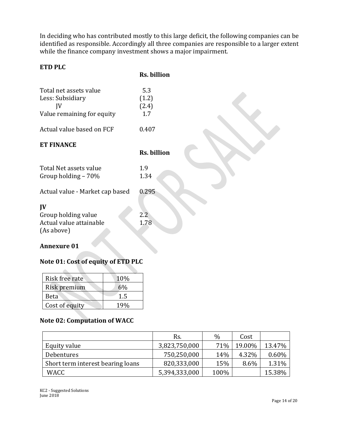In deciding who has contributed mostly to this large deficit, the following companies can be identified as responsible. Accordingly all three companies are responsible to a larger extent while the finance company investment shows a major impairment.

#### **ETD PLC**

| <b>Rs. billion</b> |
|--------------------|
|                    |

| Total net assets value<br>Less: Subsidiary<br>JV<br>Value remaining for equity | 5.3<br>(1.2)<br>(2.4)<br>1.7 |
|--------------------------------------------------------------------------------|------------------------------|
| Actual value based on FCF                                                      | 0.407                        |
| <b>ET FINANCE</b>                                                              | <b>Rs. billion</b>           |
| Total Net assets value<br>Group holding $-70\%$                                | 1.9<br>1.34                  |
| Actual value - Market cap based                                                | 0.295                        |
| $\mathbf{I}$<br>Group holding value<br>Actual value attainable<br>(As above)   | $2.2^{\circ}$<br>1.78        |

#### **Annexure 01**

# **Note 01: Cost of equity of ETD PLC**

| Risk free rate | 10%   |
|----------------|-------|
| Risk premium   | $6\%$ |
| <b>Beta</b>    | 1.5   |
| Cost of equity | 19%   |

# **Note 02: Computation of WACC**

|                                   | Rs.           | $\%$ | Cost   |        |
|-----------------------------------|---------------|------|--------|--------|
| Equity value                      | 3,823,750,000 | 71%  | 19.00% | 13.47% |
| Debentures                        | 750,250,000   | 14%  | 4.32%  | 0.60%  |
| Short term interest bearing loans | 820,333,000   | 15%  | 8.6%   | 1.31%  |
| WACC                              | 5,394,333,000 | 100% |        | 15.38% |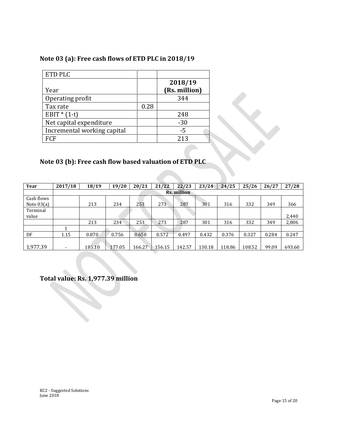# **Note 03 (a): Free cash flows of ETD PLC in 2018/19**

| ETD PLC                     |      |                          |
|-----------------------------|------|--------------------------|
| Year                        |      | 2018/19<br>(Rs. million) |
| Operating profit            |      | 344                      |
| Tax rate                    | 0.28 |                          |
| EBIT $*(1-t)$               |      | 248                      |
| Net capital expenditure     |      | $-30$                    |
| Incremental working capital |      | $-5$                     |
| FCF                         |      | 213                      |

### **Note 03 (b): Free cash flow based valuation of ETD PLC**

| Year                       | 2017/18 | 18/19  | 19/20  | 20/21  | /22<br>21 | 22/23       | 23/24  | 24/25  | 25/26  | 26/27 | 27/28  |
|----------------------------|---------|--------|--------|--------|-----------|-------------|--------|--------|--------|-------|--------|
|                            |         |        |        |        |           | Rs. million |        |        |        |       |        |
| Cash flows<br>Note $03(a)$ |         | 213    | 234    | 253    | 273       | 287         | 301    | 316    | 332    | 349   | 366    |
| Terminal<br>value          |         |        |        |        |           |             |        |        |        |       | 2,440  |
|                            |         | 213    | 234    | 253    | 273       | 287         | 301    | 316    | 332    | 349   | 2,806  |
|                            |         |        |        |        |           |             |        |        |        |       |        |
| DF                         | 1.15    | 0.870  | 0.756  | 0.658  | 0.572     | 0.497       | 0.432  | 0.376  | 0.327  | 0.284 | 0.247  |
| 1,977.39                   |         | 185.10 | 177.05 | 166.27 | 156.15    | 142.57      | 130.18 | 118.86 | 108.52 | 99.09 | 693.60 |

**Total value: Rs. 1,977.39 million**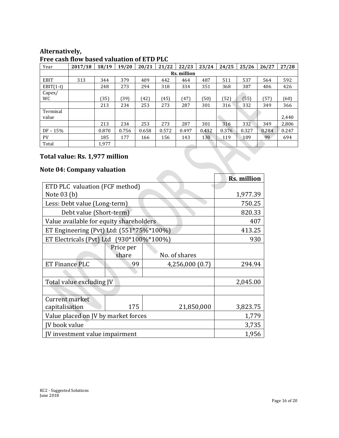#### **Alternatively, Free cash flow based valuation of ETD PLC**

| Year              | 2017/18 | 18/19 | 19/20 | 20/21 | 21/22 | 22/23       | 23/24 | 24/25 | 25/26 | 26/27 | 27/28      |
|-------------------|---------|-------|-------|-------|-------|-------------|-------|-------|-------|-------|------------|
|                   |         |       |       |       |       | Rs. million |       |       |       |       |            |
| <b>EBIT</b>       | 313     | 344   | 379   | 409   | 442   | 464         | 487   | 511   | 537   | 564   | 592        |
| $EBIT(1-t)$       |         | 248   | 273   | 294   | 318   | 334         | 351   | 368   | 387   | 406   | 426        |
| Capex/<br>WC.     |         | (35)  | (39)  | (42   | (45)  | (47)        | (50)  | (52)  | (55)  | (57)  | <b>60)</b> |
|                   |         | 213   | 234   | 253   | 273   | 287         | 301   | 316   | 332   | 349   | 366        |
| Terminal<br>value |         |       |       |       |       |             |       |       |       |       | 2,440      |
|                   |         | 213   | 234   | 253   | 273   | 287         | 301   | 316   | 332   | 349   | 2,806      |
| $DF - 15%$        |         | 0.870 | 0.756 | 0.658 | 0.572 | 0.497       | 0.432 | 0.376 | 0.327 | 0.284 | 0.247      |
| PV.               |         | 185   | 177   | 166   | 156   | 143         | 130   | 119   | 109   | 99    | 694        |
| Total             |         | 1,977 |       |       |       |             |       |       |       |       |            |

# **Total value: Rs. 1,977 million**

# **Note 04: Company valuation**

|                                          |           |                 | <b>Rs. million</b> |
|------------------------------------------|-----------|-----------------|--------------------|
| ETD PLC valuation (FCF method)           |           |                 |                    |
| Note 03 (b)                              | 1,977.39  |                 |                    |
| Less: Debt value (Long-term)             |           |                 | 750.25             |
| Debt value (Short-term)                  |           |                 | 820.33             |
| Value available for equity shareholders  |           |                 | 407                |
| ET Engineering (Pvt) Ltd: (551*75%*100%) |           |                 | 413.25             |
| ET Electricals (Pvt) Ltd (930*100%*100%) | 930       |                 |                    |
|                                          | Price per |                 |                    |
|                                          | share     | No. of shares   |                    |
| ET Finance PLC                           | 99        | 4,256,000 (0.7) | 294.94             |
|                                          |           |                 |                    |
| Total value excluding JV                 |           |                 | 2,045.00           |
|                                          |           |                 |                    |
| Current market                           |           |                 |                    |
| capitalisation                           | 175       | 21,850,000      | 3,823.75           |
| Value placed on JV by market forces      | 1,779     |                 |                    |
| JV book value                            | 3,735     |                 |                    |
| JV investment value impairment           |           |                 | 1,956              |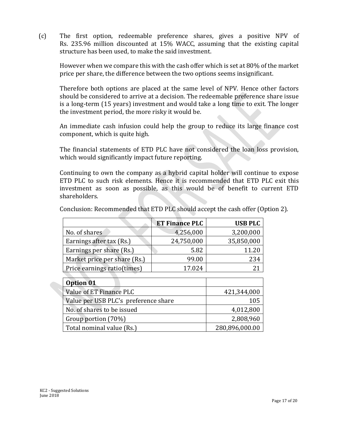(c) The first option, redeemable preference shares, gives a positive NPV of Rs. 235.96 million discounted at 15% WACC, assuming that the existing capital structure has been used, to make the said investment.

However when we compare this with the cash offer which is set at 80% of the market price per share, the difference between the two options seems insignificant.

Therefore both options are placed at the same level of NPV. Hence other factors should be considered to arrive at a decision. The redeemable preference share issue is a long-term (15 years) investment and would take a long time to exit. The longer the investment period, the more risky it would be.

An immediate cash infusion could help the group to reduce its large finance cost component, which is quite high.

The financial statements of ETD PLC have not considered the loan loss provision, which would significantly impact future reporting.

Continuing to own the company as a hybrid capital holder will continue to expose ETD PLC to such risk elements. Hence it is recommended that ETD PLC exit this investment as soon as possible, as this would be of benefit to current ETD shareholders.

|                              | <b>ET Finance PLC</b> | <b>USB PLC</b> |
|------------------------------|-----------------------|----------------|
| No. of shares                | 4,256,000             | 3,200,000      |
| Earnings after tax (Rs.)     | 24,750,000            | 35,850,000     |
| Earnings per share (Rs.)     | 5.82                  | 11.20          |
| Market price per share (Rs.) | 99.00                 | 234            |
| Price earnings ratio(times)  | 17.024                |                |

Conclusion: Recommended that ETD PLC should accept the cash offer (Option 2).

| Option 01                            |                |
|--------------------------------------|----------------|
| Value of ET Finance PLC              | 421,344,000    |
| Value per USB PLC's preference share | 105            |
| No. of shares to be issued           | 4,012,800      |
| Group portion (70%)                  | 2,808,960      |
| Total nominal value (Rs.)            | 280,896,000.00 |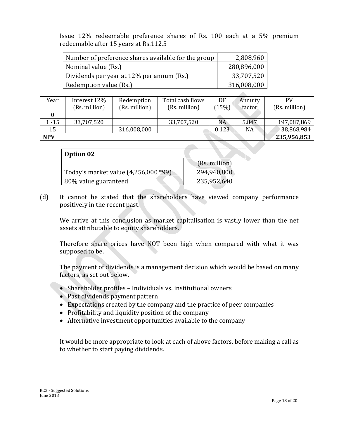Issue 12% redeemable preference shares of Rs. 100 each at a 5% premium redeemable after 15 years at Rs.112.5

| Number of preference shares available for the group | 2,808,960   |
|-----------------------------------------------------|-------------|
| Nominal value (Rs.)                                 | 280,896,000 |
| Dividends per year at 12% per annum (Rs.)           | 33,707,520  |
| Redemption value (Rs.)                              | 316,008,000 |

| Year       | Interest 12%  | Redemption    | Total cash flows | DF    | Annuity | PV            |
|------------|---------------|---------------|------------------|-------|---------|---------------|
|            | (Rs. million) | (Rs. million) | (Rs. million)    | 15%   | factor  | (Rs. million) |
|            |               |               |                  |       |         |               |
| $-15$      | 33,707,520    |               | 33,707,520       | NA    | 5.847   | 197,087,869   |
| 15         |               | 316,008,000   |                  | 0.123 | NA      | 38,868,984    |
| <b>NPV</b> |               |               |                  |       |         | 235,956,853   |

 $\mathcal{L}_{\mathcal{M}}$ 

| Option 02                            |               |
|--------------------------------------|---------------|
|                                      | (Rs. million) |
| Today's market value (4,256,000 *99) | 294,940,800   |
| 80% value guaranteed                 | 235,952,640   |

(d) It cannot be stated that the shareholders have viewed company performance positively in the recent past.

We arrive at this conclusion as market capitalisation is vastly lower than the net assets attributable to equity shareholders.

Therefore share prices have NOT been high when compared with what it was supposed to be.

The payment of dividends is a management decision which would be based on many factors, as set out below.

- Shareholder profiles Individuals vs. institutional owners
- Past dividends payment pattern
- Expectations created by the company and the practice of peer companies
- Profitability and liquidity position of the company
- Alternative investment opportunities available to the company

It would be more appropriate to look at each of above factors, before making a call as to whether to start paying dividends.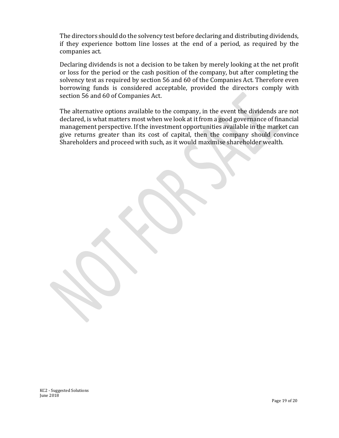The directors should do the solvency test before declaring and distributing dividends, if they experience bottom line losses at the end of a period, as required by the companies act.

Declaring dividends is not a decision to be taken by merely looking at the net profit or loss for the period or the cash position of the company, but after completing the solvency test as required by section 56 and 60 of the Companies Act. Therefore even borrowing funds is considered acceptable, provided the directors comply with section 56 and 60 of Companies Act.

The alternative options available to the company, in the event the dividends are not declared, is what matters most when we look at it from a good governance of financial management perspective. If the investment opportunities available in the market can give returns greater than its cost of capital, then the company should convince Shareholders and proceed with such, as it would maximise shareholder wealth.